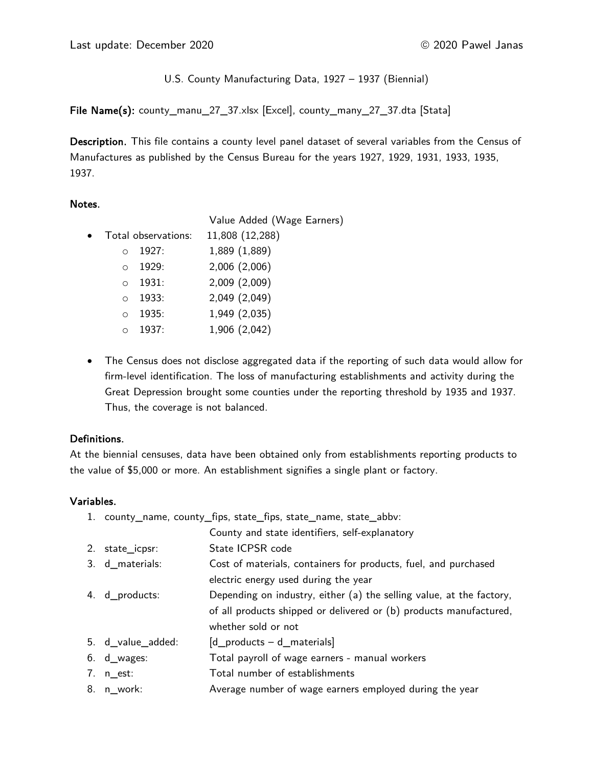U.S. County Manufacturing Data, 1927 – 1937 (Biennial)

File Name(s): county\_manu\_27\_37.xlsx [Excel], county\_many\_27\_37.dta [Stata]

Description. This file contains a county level panel dataset of several variables from the Census of Manufactures as published by the Census Bureau for the years 1927, 1929, 1931, 1933, 1935, 1937.

#### Notes.

Value Added (Wage Earners)

• Total observations: 11,808 (12,288)

|         | ○ 1927:       | 1,889 (1,889) |
|---------|---------------|---------------|
| $\circ$ | 1929:         | 2,006 (2,006) |
|         | $\circ$ 1931: | 2,009 (2,009) |
|         | 0 1933:       | 2,049 (2,049) |
| $\circ$ | 1935:         | 1,949 (2,035) |
|         | $0 1937$ :    | 1,906 (2,042) |

• The Census does not disclose aggregated data if the reporting of such data would allow for firm-level identification. The loss of manufacturing establishments and activity during the Great Depression brought some counties under the reporting threshold by 1935 and 1937. Thus, the coverage is not balanced.

# Definitions.

At the biennial censuses, data have been obtained only from establishments reporting products to the value of \$5,000 or more. An establishment signifies a single plant or factory.

# Variables.

| 1. county_name, county_fips, state_fips, state_name, state_abbv: |                                                                      |  |
|------------------------------------------------------------------|----------------------------------------------------------------------|--|
|                                                                  | County and state identifiers, self-explanatory                       |  |
| 2. state_icpsr:                                                  | State ICPSR code                                                     |  |
| 3. d_materials:                                                  | Cost of materials, containers for products, fuel, and purchased      |  |
|                                                                  | electric energy used during the year                                 |  |
| 4. d_products:                                                   | Depending on industry, either (a) the selling value, at the factory, |  |
|                                                                  | of all products shipped or delivered or (b) products manufactured,   |  |
|                                                                  | whether sold or not                                                  |  |
| 5. d_value_added:                                                | $[d$ products $-d$ materials                                         |  |
| $6. d_{\text{wages}}$ :                                          | Total payroll of wage earners - manual workers                       |  |
| $7. n_{est:}$                                                    | Total number of establishments                                       |  |
| 8. n_work:                                                       | Average number of wage earners employed during the year              |  |
|                                                                  |                                                                      |  |